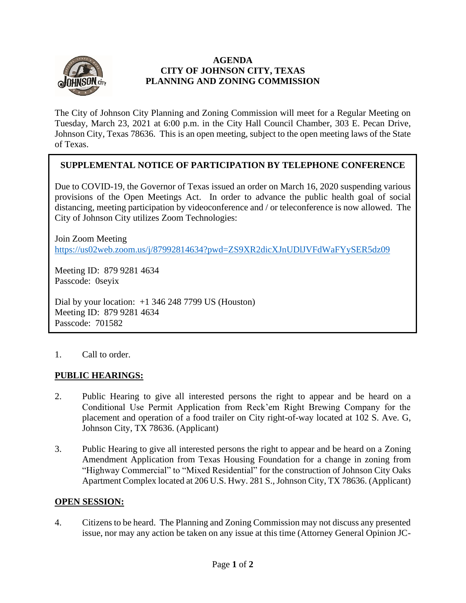

### **AGENDA CITY OF JOHNSON CITY, TEXAS PLANNING AND ZONING COMMISSION**

The City of Johnson City Planning and Zoning Commission will meet for a Regular Meeting on Tuesday, March 23, 2021 at 6:00 p.m. in the City Hall Council Chamber, 303 E. Pecan Drive, Johnson City, Texas 78636. This is an open meeting, subject to the open meeting laws of the State of Texas.

# **SUPPLEMENTAL NOTICE OF PARTICIPATION BY TELEPHONE CONFERENCE**

Due to COVID-19, the Governor of Texas issued an order on March 16, 2020 suspending various provisions of the Open Meetings Act. In order to advance the public health goal of social distancing, meeting participation by videoconference and / or teleconference is now allowed. The City of Johnson City utilizes Zoom Technologies:

Join Zoom Meeting <https://us02web.zoom.us/j/87992814634?pwd=ZS9XR2dicXJnUDlJVFdWaFYySER5dz09>

Meeting ID: 879 9281 4634 Passcode: 0seyix

Dial by your location:  $+1$  346 248 7799 US (Houston) Meeting ID: 879 9281 4634 Passcode: 701582

1. Call to order.

## **PUBLIC HEARINGS:**

- 2. Public Hearing to give all interested persons the right to appear and be heard on a Conditional Use Permit Application from Reck'em Right Brewing Company for the placement and operation of a food trailer on City right-of-way located at 102 S. Ave. G, Johnson City, TX 78636. (Applicant)
- 3. Public Hearing to give all interested persons the right to appear and be heard on a Zoning Amendment Application from Texas Housing Foundation for a change in zoning from "Highway Commercial" to "Mixed Residential" for the construction of Johnson City Oaks Apartment Complex located at 206 U.S. Hwy. 281 S., Johnson City, TX 78636. (Applicant)

### **OPEN SESSION:**

4. Citizens to be heard. The Planning and Zoning Commission may not discuss any presented issue, nor may any action be taken on any issue at this time (Attorney General Opinion JC-